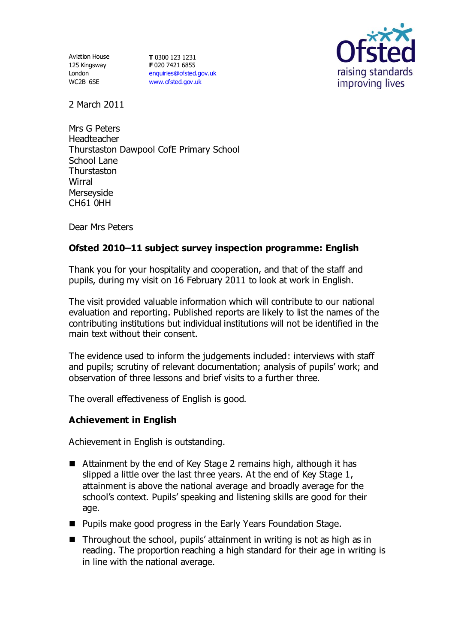Aviation House 125 Kingsway London WC2B 6SE

**T** 0300 123 1231 **F** 020 7421 6855 [enquiries@ofsted.gov.uk](mailto:enquiries@ofsted.gov.uk) [www.ofsted.gov.uk](http://www.ofsted.gov.uk/)



2 March 2011

Mrs G Peters Headteacher Thurstaston Dawpool CofE Primary School School Lane **Thurstaston Wirral** Merseyside CH61 0HH

Dear Mrs Peters

# **Ofsted 2010–11 subject survey inspection programme: English**

Thank you for your hospitality and cooperation, and that of the staff and pupils, during my visit on 16 February 2011 to look at work in English.

The visit provided valuable information which will contribute to our national evaluation and reporting. Published reports are likely to list the names of the contributing institutions but individual institutions will not be identified in the main text without their consent.

The evidence used to inform the judgements included: interviews with staff and pupils; scrutiny of relevant documentation; analysis of pupils' work; and observation of three lessons and brief visits to a further three.

The overall effectiveness of English is good.

## **Achievement in English**

Achievement in English is outstanding.

- Attainment by the end of Key Stage 2 remains high, although it has slipped a little over the last three years. At the end of Key Stage 1, attainment is above the national average and broadly average for the school's context. Pupils' speaking and listening skills are good for their age.
- **Pupils make good progress in the Early Years Foundation Stage.**
- Throughout the school, pupils' attainment in writing is not as high as in reading. The proportion reaching a high standard for their age in writing is in line with the national average.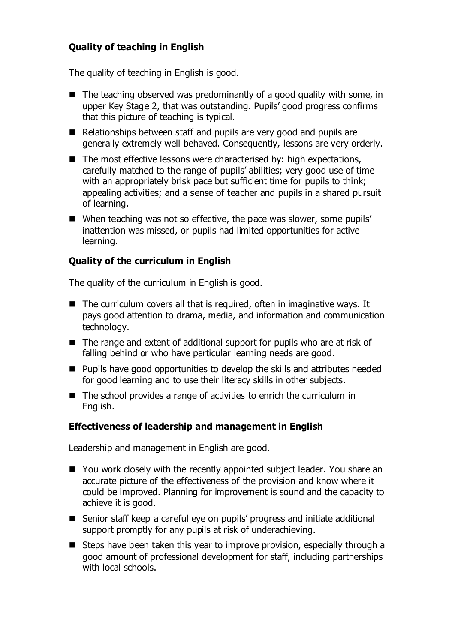## **Quality of teaching in English**

The quality of teaching in English is good.

- $\blacksquare$  The teaching observed was predominantly of a good quality with some, in upper Key Stage 2, that was outstanding. Pupils' good progress confirms that this picture of teaching is typical.
- Relationships between staff and pupils are very good and pupils are generally extremely well behaved. Consequently, lessons are very orderly.
- $\blacksquare$  The most effective lessons were characterised by: high expectations, carefully matched to the range of pupils' abilities; very good use of time with an appropriately brisk pace but sufficient time for pupils to think; appealing activities; and a sense of teacher and pupils in a shared pursuit of learning.
- When teaching was not so effective, the pace was slower, some pupils' inattention was missed, or pupils had limited opportunities for active learning.

## **Quality of the curriculum in English**

The quality of the curriculum in English is good.

- $\blacksquare$  The curriculum covers all that is required, often in imaginative ways. It pays good attention to drama, media, and information and communication technology.
- $\blacksquare$  The range and extent of additional support for pupils who are at risk of falling behind or who have particular learning needs are good.
- **Pupils have good opportunities to develop the skills and attributes needed** for good learning and to use their literacy skills in other subjects.
- $\blacksquare$  The school provides a range of activities to enrich the curriculum in English.

## **Effectiveness of leadership and management in English**

Leadership and management in English are good.

- You work closely with the recently appointed subject leader. You share an accurate picture of the effectiveness of the provision and know where it could be improved. Planning for improvement is sound and the capacity to achieve it is good.
- Senior staff keep a careful eye on pupils' progress and initiate additional support promptly for any pupils at risk of underachieving.
- Steps have been taken this year to improve provision, especially through a good amount of professional development for staff, including partnerships with local schools.